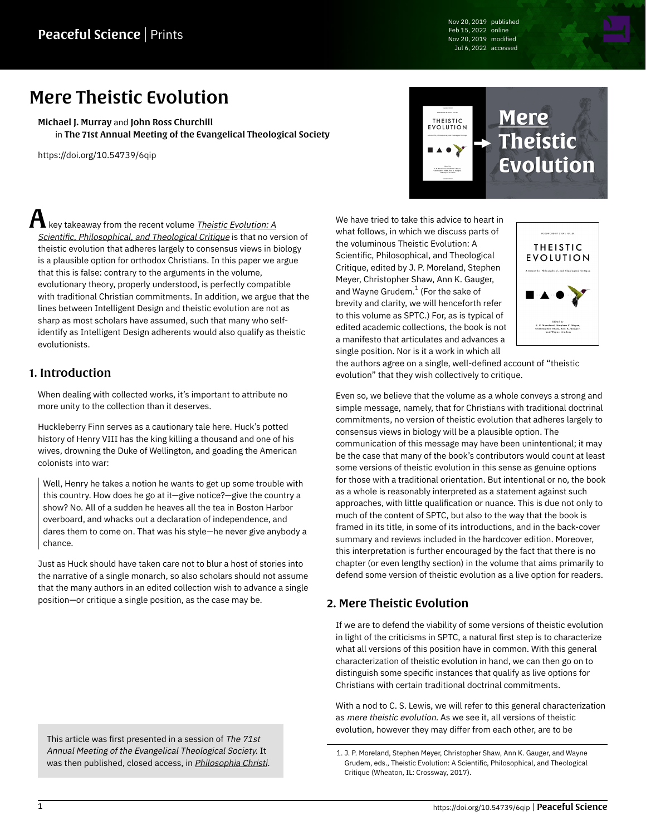Nov 20, 2019 published Feb 15, 2022 online Nov 20, 2019 modified Jul 6, 2022 accessed

# Mere Theistic Evolution

[Michael J. Murray](https://peacefulscience.org/authors/michael-murray/) and [John Ross Churchill](https://peacefulscience.org/authors/john-ross-churchill/) in [The 71st Annual Meeting of the Evangelical Theological Society](https://peacefulscience.org/series/ets-mte/)

<https://doi.org/10.54739/6qip>

 ${\mathbf A}$  key takeaway from the recent volume <u>[Theistic Evolution: A](https://peacefulscience.org/books/theistic-evolution/)</u> [Scientific, Philosophical, and Theological Critique](https://peacefulscience.org/books/theistic-evolution/) is that no version of theistic evolution that adheres largely to consensus views in biology is a plausible option for orthodox Christians. In this paper we argue that this is false: contrary to the arguments in the volume, evolutionary theory, properly understood, is perfectly compatible with traditional Christian commitments. In addition, we argue that the lines between Intelligent Design and theistic evolution are not as sharp as most scholars have assumed, such that many who selfidentify as Intelligent Design adherents would also qualify as theistic evolutionists.

### 1. Introduction

When dealing with collected works, it's important to attribute no more unity to the collection than it deserves.

Huckleberry Finn serves as a cautionary tale here. Huck's potted history of Henry VIII has the king killing a thousand and one of his wives, drowning the Duke of Wellington, and goading the American colonists into war:

Well, Henry he takes a notion he wants to get up some trouble with this country. How does he go at it—give notice?—give the country a show? No. All of a sudden he heaves all the tea in Boston Harbor overboard, and whacks out a declaration of independence, and dares them to come on. That was his style—he never give anybody a chance.

Just as Huck should have taken care not to blur a host of stories into the narrative of a single monarch, so also scholars should not assume that the many authors in an edited collection wish to advance a single position—or critique a single position, as the case may be.

This article was first presented in a session of The 71st Annual Meeting of the Evangelical Theological Society. It was then published, closed access, in [Philosophia Christi](https://doi.org/10.5840/pc20202212).



We have tried to take this advice to heart in what follows, in which we discuss parts of the voluminous Theistic Evolution: A Scientific, Philosophical, and Theological Critique, edited by J. P. Moreland, Stephen Meyer, Christopher Shaw, Ann K. Gauger, and Wayne Grudem. $^{\rm 1}$  (For the sake of brevity and clarity, we will henceforth refer to this volume as SPTC.) For, as is typical of edited academic collections, the book is not a manifesto that articulates and advances a single position. Nor is it a work in which all



the authors agree on a single, well-defined account of "theistic evolution" that they wish collectively to critique.

Even so, we believe that the volume as a whole conveys a strong and simple message, namely, that for Christians with traditional doctrinal commitments, no version of theistic evolution that adheres largely to consensus views in biology will be a plausible option. The communication of this message may have been unintentional; it may be the case that many of the book's contributors would count at least some versions of theistic evolution in this sense as genuine options for those with a traditional orientation. But intentional or no, the book as a whole is reasonably interpreted as a statement against such approaches, with little qualification or nuance. This is due not only to much of the content of SPTC, but also to the way that the book is framed in its title, in some of its introductions, and in the back-cover summary and reviews included in the hardcover edition. Moreover, this interpretation is further encouraged by the fact that there is no chapter (or even lengthy section) in the volume that aims primarily to defend some version of theistic evolution as a live option for readers.

#### 2. Mere Theistic Evolution

If we are to defend the viability of some versions of theistic evolution in light of the criticisms in SPTC, a natural first step is to characterize what all versions of this position have in common. With this general characterization of theistic evolution in hand, we can then go on to distinguish some specific instances that qualify as live options for Christians with certain traditional doctrinal commitments.

With a nod to C. S. Lewis, we will refer to this general characterization as mere theistic evolution. As we see it, all versions of theistic evolution, however they may differ from each other, are to be

<sup>1.</sup> J. P. Moreland, Stephen Meyer, Christopher Shaw, Ann K. Gauger, and Wayne Grudem, eds., Theistic Evolution: A Scientific, Philosophical, and Theological Critique (Wheaton, IL: Crossway, 2017).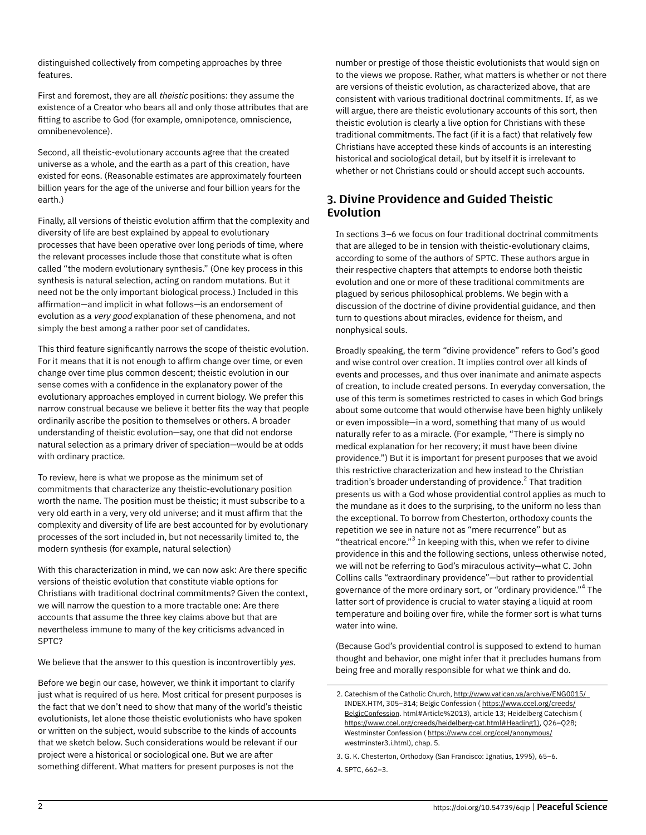distinguished collectively from competing approaches by three features.

First and foremost, they are all theistic positions: they assume the existence of a Creator who bears all and only those attributes that are fitting to ascribe to God (for example, omnipotence, omniscience, omnibenevolence).

Second, all theistic-evolutionary accounts agree that the created universe as a whole, and the earth as a part of this creation, have existed for eons. (Reasonable estimates are approximately fourteen billion years for the age of the universe and four billion years for the earth.)

Finally, all versions of theistic evolution affirm that the complexity and diversity of life are best explained by appeal to evolutionary processes that have been operative over long periods of time, where the relevant processes include those that constitute what is often called "the modern evolutionary synthesis." (One key process in this synthesis is natural selection, acting on random mutations. But it need not be the only important biological process.) Included in this affirmation—and implicit in what follows—is an endorsement of evolution as a very good explanation of these phenomena, and not simply the best among a rather poor set of candidates.

This third feature significantly narrows the scope of theistic evolution. For it means that it is not enough to affirm change over time, or even change over time plus common descent; theistic evolution in our sense comes with a confidence in the explanatory power of the evolutionary approaches employed in current biology. We prefer this narrow construal because we believe it better fits the way that people ordinarily ascribe the position to themselves or others. A broader understanding of theistic evolution—say, one that did not endorse natural selection as a primary driver of speciation—would be at odds with ordinary practice.

To review, here is what we propose as the minimum set of commitments that characterize any theistic-evolutionary position worth the name. The position must be theistic; it must subscribe to a very old earth in a very, very old universe; and it must affirm that the complexity and diversity of life are best accounted for by evolutionary processes of the sort included in, but not necessarily limited to, the modern synthesis (for example, natural selection)

With this characterization in mind, we can now ask: Are there specific versions of theistic evolution that constitute viable options for Christians with traditional doctrinal commitments? Given the context, we will narrow the question to a more tractable one: Are there accounts that assume the three key claims above but that are nevertheless immune to many of the key criticisms advanced in SPTC?

We believe that the answer to this question is incontrovertibly yes.

Before we begin our case, however, we think it important to clarify just what is required of us here. Most critical for present purposes is the fact that we don't need to show that many of the world's theistic evolutionists, let alone those theistic evolutionists who have spoken or written on the subject, would subscribe to the kinds of accounts that we sketch below. Such considerations would be relevant if our project were a historical or sociological one. But we are after something different. What matters for present purposes is not the

number or prestige of those theistic evolutionists that would sign on to the views we propose. Rather, what matters is whether or not there are versions of theistic evolution, as characterized above, that are consistent with various traditional doctrinal commitments. If, as we will argue, there are theistic evolutionary accounts of this sort, then theistic evolution is clearly a live option for Christians with these traditional commitments. The fact (if it is a fact) that relatively few Christians have accepted these kinds of accounts is an interesting historical and sociological detail, but by itself it is irrelevant to whether or not Christians could or should accept such accounts.

#### 3. Divine Providence and Guided Theistic Evolution

In sections 3–6 we focus on four traditional doctrinal commitments that are alleged to be in tension with theistic-evolutionary claims, according to some of the authors of SPTC. These authors argue in their respective chapters that attempts to endorse both theistic evolution and one or more of these traditional commitments are plagued by serious philosophical problems. We begin with a discussion of the doctrine of divine providential guidance, and then turn to questions about miracles, evidence for theism, and nonphysical souls.

Broadly speaking, the term "divine providence" refers to God's good and wise control over creation. It implies control over all kinds of events and processes, and thus over inanimate and animate aspects of creation, to include created persons. In everyday conversation, the use of this term is sometimes restricted to cases in which God brings about some outcome that would otherwise have been highly unlikely or even impossible—in a word, something that many of us would naturally refer to as a miracle. (For example, "There is simply no medical explanation for her recovery; it must have been divine providence.") But it is important for present purposes that we avoid this restrictive characterization and hew instead to the Christian tradition's broader understanding of providence.<sup>2</sup> That tradition presents us with a God whose providential control applies as much to the mundane as it does to the surprising, to the uniform no less than the exceptional. To borrow from Chesterton, orthodoxy counts the repetition we see in nature not as "mere recurrence" but as "theatrical encore." $^3$  In keeping with this, when we refer to divine providence in this and the following sections, unless otherwise noted, we will not be referring to God's miraculous activity—what C. John Collins calls "extraordinary providence"—but rather to providential governance of the more ordinary sort, or "ordinary providence."<sup>4</sup> The latter sort of providence is crucial to water staying a liquid at room temperature and boiling over fire, while the former sort is what turns water into wine.

(Because God's providential control is supposed to extend to human thought and behavior, one might infer that it precludes humans from being free and morally responsible for what we think and do.

<sup>2.</sup> Catechism of the Catholic Church, http://www.vatican.va/archive/ENG0015/ INDEX.HTM, 305–314; Belgic Confession ( [https://www.ccel.org/creeds/](https://www.ccel.org/creeds/BelgicConfession) [BelgicConfession.](https://www.ccel.org/creeds/BelgicConfession) html#Article%2013), article 13; Heidelberg Catechism ( [https://www.ccel.org/creeds/heidelberg-cat.html#Heading1\),](https://www.ccel.org/creeds/heidelberg-cat.html#Heading1%29) Q26–Q28; Westminster Confession ( [https://www.ccel.org/ccel/anonymous/](https://www.ccel.org/ccel/anonymous) westminster3.i.html), chap. 5.

<sup>3.</sup> G. K. Chesterton, Orthodoxy (San Francisco: Ignatius, 1995), 65–6. 4. SPTC, 662–3.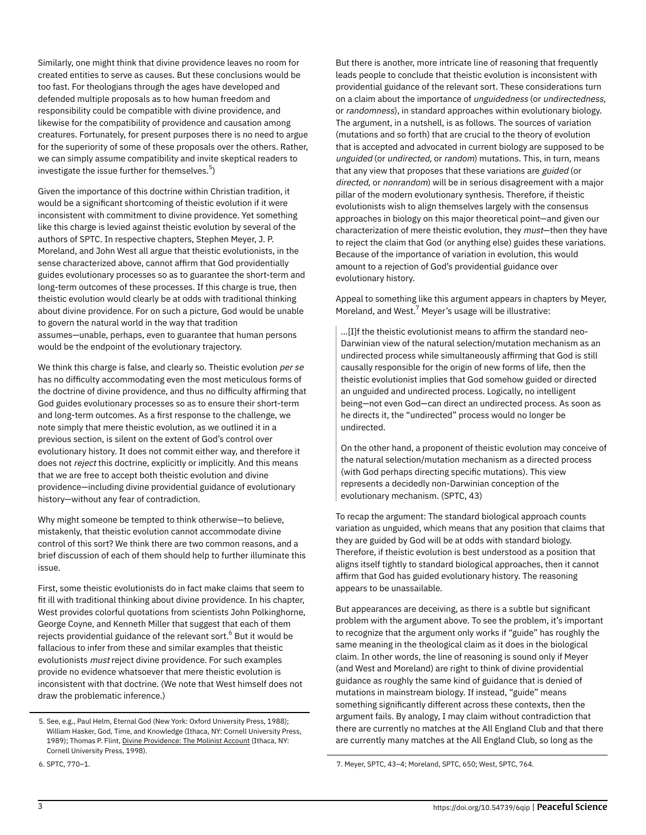Similarly, one might think that divine providence leaves no room for created entities to serve as causes. But these conclusions would be too fast. For theologians through the ages have developed and defended multiple proposals as to how human freedom and responsibility could be compatible with divine providence, and likewise for the compatibility of providence and causation among creatures. Fortunately, for present purposes there is no need to argue for the superiority of some of these proposals over the others. Rather, we can simply assume compatibility and invite skeptical readers to investigate the issue further for themselves. $^5\rangle$ 

Given the importance of this doctrine within Christian tradition, it would be a significant shortcoming of theistic evolution if it were inconsistent with commitment to divine providence. Yet something like this charge is levied against theistic evolution by several of the authors of SPTC. In respective chapters, Stephen Meyer, J. P. Moreland, and John West all argue that theistic evolutionists, in the sense characterized above, cannot affirm that God providentially guides evolutionary processes so as to guarantee the short-term and long-term outcomes of these processes. If this charge is true, then theistic evolution would clearly be at odds with traditional thinking about divine providence. For on such a picture, God would be unable to govern the natural world in the way that tradition assumes—unable, perhaps, even to guarantee that human persons would be the endpoint of the evolutionary trajectory.

We think this charge is false, and clearly so. Theistic evolution per se has no difficulty accommodating even the most meticulous forms of the doctrine of divine providence, and thus no difficulty affirming that God guides evolutionary processes so as to ensure their short-term and long-term outcomes. As a first response to the challenge, we note simply that mere theistic evolution, as we outlined it in a previous section, is silent on the extent of God's control over evolutionary history. It does not commit either way, and therefore it does not reject this doctrine, explicitly or implicitly. And this means that we are free to accept both theistic evolution and divine providence—including divine providential guidance of evolutionary history—without any fear of contradiction.

Why might someone be tempted to think otherwise—to believe, mistakenly, that theistic evolution cannot accommodate divine control of this sort? We think there are two common reasons, and a brief discussion of each of them should help to further illuminate this issue.

First, some theistic evolutionists do in fact make claims that seem to fit ill with traditional thinking about divine providence. In his chapter, West provides colorful quotations from scientists John Polkinghorne, George Coyne, and Kenneth Miller that suggest that each of them rejects providential guidance of the relevant sort. $^6$  But it would be fallacious to infer from these and similar examples that theistic evolutionists must reject divine providence. For such examples provide no evidence whatsoever that mere theistic evolution is inconsistent with that doctrine. (We note that West himself does not draw the problematic inference.)

But there is another, more intricate line of reasoning that frequently leads people to conclude that theistic evolution is inconsistent with providential guidance of the relevant sort. These considerations turn on a claim about the importance of unguidedness (or undirectedness, or randomness), in standard approaches within evolutionary biology. The argument, in a nutshell, is as follows. The sources of variation (mutations and so forth) that are crucial to the theory of evolution that is accepted and advocated in current biology are supposed to be unguided (or undirected, or random) mutations. This, in turn, means that any view that proposes that these variations are guided (or directed, or nonrandom) will be in serious disagreement with a major pillar of the modern evolutionary synthesis. Therefore, if theistic evolutionists wish to align themselves largely with the consensus approaches in biology on this major theoretical point—and given our characterization of mere theistic evolution, they must-then they have to reject the claim that God (or anything else) guides these variations. Because of the importance of variation in evolution, this would amount to a rejection of God's providential guidance over evolutionary history.

Appeal to something like this argument appears in chapters by Meyer, Moreland, and West.<sup>7</sup> Meyer's usage will be illustrative:

…[I]f the theistic evolutionist means to affirm the standard neo-Darwinian view of the natural selection/mutation mechanism as an undirected process while simultaneously affirming that God is still causally responsible for the origin of new forms of life, then the theistic evolutionist implies that God somehow guided or directed an unguided and undirected process. Logically, no intelligent being—not even God—can direct an undirected process. As soon as he directs it, the "undirected" process would no longer be undirected.

On the other hand, a proponent of theistic evolution may conceive of the natural selection/mutation mechanism as a directed process (with God perhaps directing specific mutations). This view represents a decidedly non-Darwinian conception of the evolutionary mechanism. (SPTC, 43)

To recap the argument: The standard biological approach counts variation as unguided, which means that any position that claims that they are guided by God will be at odds with standard biology. Therefore, if theistic evolution is best understood as a position that aligns itself tightly to standard biological approaches, then it cannot affirm that God has guided evolutionary history. The reasoning appears to be unassailable.

But appearances are deceiving, as there is a subtle but significant problem with the argument above. To see the problem, it's important to recognize that the argument only works if "guide" has roughly the same meaning in the theological claim as it does in the biological claim. In other words, the line of reasoning is sound only if Meyer (and West and Moreland) are right to think of divine providential guidance as roughly the same kind of guidance that is denied of mutations in mainstream biology. If instead, "guide" means something significantly different across these contexts, then the argument fails. By analogy, I may claim without contradiction that there are currently no matches at the All England Club and that there are currently many matches at the All England Club, so long as the

<sup>5.</sup> See, e.g., Paul Helm, Eternal God (New York: Oxford University Press, 1988); William Hasker, God, Time, and Knowledge (Ithaca, NY: Cornell University Press, 1989); Thomas P. Flint, [Divine Providence: The Molinist Account](https://amazon.com/dp/0801434505/?tag=swamidass-20) (Ithaca, NY: Cornell University Press, 1998).

<sup>6.</sup> SPTC, 770–1.

<sup>7.</sup> Meyer, SPTC, 43–4; Moreland, SPTC, 650; West, SPTC, 764.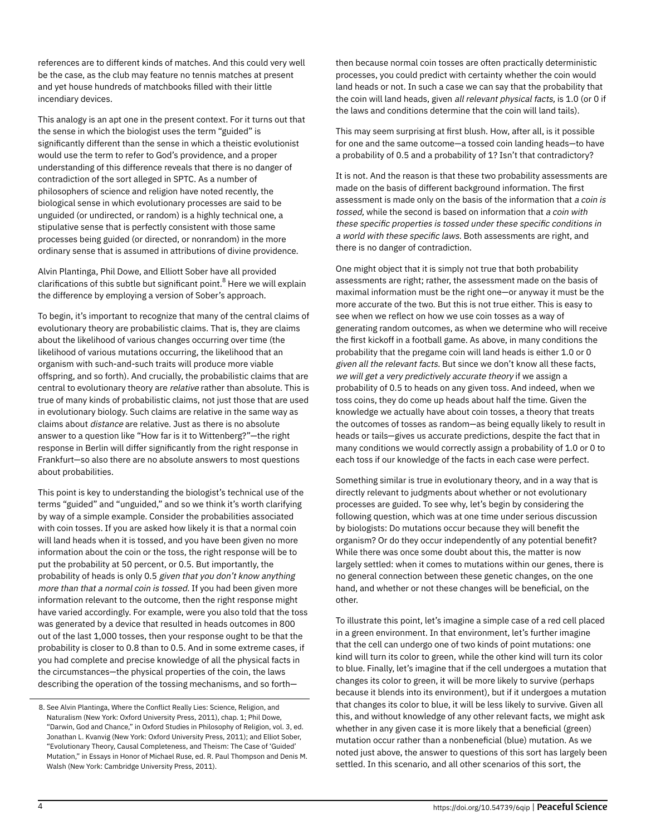references are to different kinds of matches. And this could very well be the case, as the club may feature no tennis matches at present and yet house hundreds of matchbooks filled with their little incendiary devices.

This analogy is an apt one in the present context. For it turns out that the sense in which the biologist uses the term "guided" is significantly different than the sense in which a theistic evolutionist would use the term to refer to God's providence, and a proper understanding of this difference reveals that there is no danger of contradiction of the sort alleged in SPTC. As a number of philosophers of science and religion have noted recently, the biological sense in which evolutionary processes are said to be unguided (or undirected, or random) is a highly technical one, a stipulative sense that is perfectly consistent with those same processes being guided (or directed, or nonrandom) in the more ordinary sense that is assumed in attributions of divine providence.

Alvin Plantinga, Phil Dowe, and Elliott Sober have all provided clarifications of this subtle but significant point.<sup>8</sup> Here we will explain the difference by employing a version of Sober's approach.

To begin, it's important to recognize that many of the central claims of evolutionary theory are probabilistic claims. That is, they are claims about the likelihood of various changes occurring over time (the likelihood of various mutations occurring, the likelihood that an organism with such-and-such traits will produce more viable offspring, and so forth). And crucially, the probabilistic claims that are central to evolutionary theory are relative rather than absolute. This is true of many kinds of probabilistic claims, not just those that are used in evolutionary biology. Such claims are relative in the same way as claims about distance are relative. Just as there is no absolute answer to a question like "How far is it to Wittenberg?"—the right response in Berlin will differ significantly from the right response in Frankfurt—so also there are no absolute answers to most questions about probabilities.

This point is key to understanding the biologist's technical use of the terms "guided" and "unguided," and so we think it's worth clarifying by way of a simple example. Consider the probabilities associated with coin tosses. If you are asked how likely it is that a normal coin will land heads when it is tossed, and you have been given no more information about the coin or the toss, the right response will be to put the probability at 50 percent, or 0.5. But importantly, the probability of heads is only 0.5 given that you don't know anything more than that a normal coin is tossed. If you had been given more information relevant to the outcome, then the right response might have varied accordingly. For example, were you also told that the toss was generated by a device that resulted in heads outcomes in 800 out of the last 1,000 tosses, then your response ought to be that the probability is closer to 0.8 than to 0.5. And in some extreme cases, if you had complete and precise knowledge of all the physical facts in the circumstances—the physical properties of the coin, the laws describing the operation of the tossing mechanisms, and so forththen because normal coin tosses are often practically deterministic processes, you could predict with certainty whether the coin would land heads or not. In such a case we can say that the probability that the coin will land heads, given all relevant physical facts, is 1.0 (or 0 if the laws and conditions determine that the coin will land tails).

This may seem surprising at first blush. How, after all, is it possible for one and the same outcome—a tossed coin landing heads—to have a probability of 0.5 and a probability of 1? Isn't that contradictory?

It is not. And the reason is that these two probability assessments are made on the basis of different background information. The first assessment is made only on the basis of the information that a coin is tossed, while the second is based on information that a coin with these specific properties is tossed under these specific conditions in a world with these specific laws. Both assessments are right, and there is no danger of contradiction.

One might object that it is simply not true that both probability assessments are right; rather, the assessment made on the basis of maximal information must be the right one—or anyway it must be the more accurate of the two. But this is not true either. This is easy to see when we reflect on how we use coin tosses as a way of generating random outcomes, as when we determine who will receive the first kickoff in a football game. As above, in many conditions the probability that the pregame coin will land heads is either 1.0 or 0 given all the relevant facts. But since we don't know all these facts, we will get a very predictively accurate theory if we assign a probability of 0.5 to heads on any given toss. And indeed, when we toss coins, they do come up heads about half the time. Given the knowledge we actually have about coin tosses, a theory that treats the outcomes of tosses as random—as being equally likely to result in heads or tails—gives us accurate predictions, despite the fact that in many conditions we would correctly assign a probability of 1.0 or 0 to each toss if our knowledge of the facts in each case were perfect.

Something similar is true in evolutionary theory, and in a way that is directly relevant to judgments about whether or not evolutionary processes are guided. To see why, let's begin by considering the following question, which was at one time under serious discussion by biologists: Do mutations occur because they will benefit the organism? Or do they occur independently of any potential benefit? While there was once some doubt about this, the matter is now largely settled: when it comes to mutations within our genes, there is no general connection between these genetic changes, on the one hand, and whether or not these changes will be beneficial, on the other.

To illustrate this point, let's imagine a simple case of a red cell placed in a green environment. In that environment, let's further imagine that the cell can undergo one of two kinds of point mutations: one kind will turn its color to green, while the other kind will turn its color to blue. Finally, let's imagine that if the cell undergoes a mutation that changes its color to green, it will be more likely to survive (perhaps because it blends into its environment), but if it undergoes a mutation that changes its color to blue, it will be less likely to survive. Given all this, and without knowledge of any other relevant facts, we might ask whether in any given case it is more likely that a beneficial (green) mutation occur rather than a nonbeneficial (blue) mutation. As we noted just above, the answer to questions of this sort has largely been settled. In this scenario, and all other scenarios of this sort, the

<sup>8.</sup> See Alvin Plantinga, Where the Conflict Really Lies: Science, Religion, and Naturalism (New York: Oxford University Press, 2011), chap. 1; Phil Dowe, "Darwin, God and Chance," in Oxford Studies in Philosophy of Religion, vol. 3, ed. Jonathan L. Kvanvig (New York: Oxford University Press, 2011); and Elliot Sober, "Evolutionary Theory, Causal Completeness, and Theism: The Case of 'Guided' Mutation," in Essays in Honor of Michael Ruse, ed. R. Paul Thompson and Denis M. Walsh (New York: Cambridge University Press, 2011).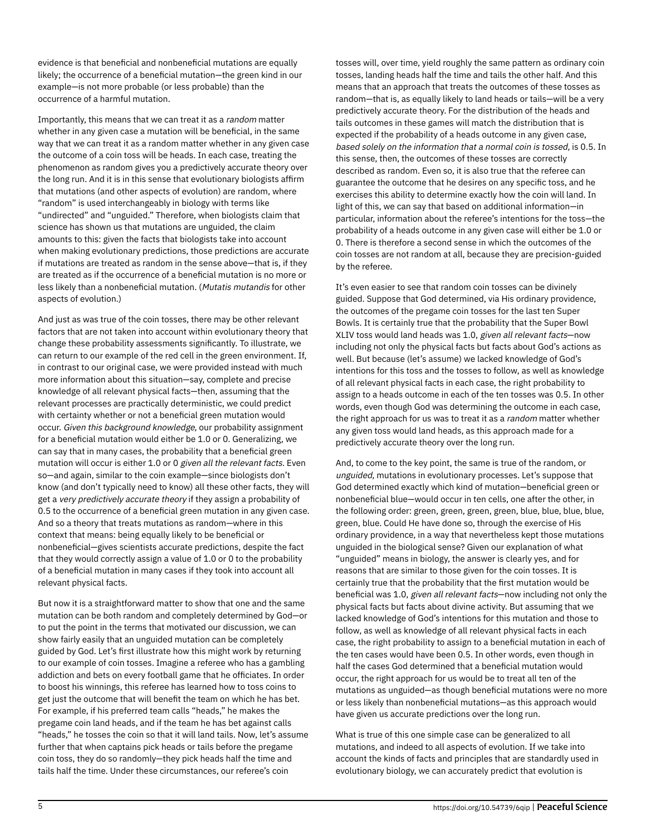evidence is that beneficial and nonbeneficial mutations are equally likely; the occurrence of a beneficial mutation—the green kind in our example—is not more probable (or less probable) than the occurrence of a harmful mutation.

Importantly, this means that we can treat it as a random matter whether in any given case a mutation will be beneficial, in the same way that we can treat it as a random matter whether in any given case the outcome of a coin toss will be heads. In each case, treating the phenomenon as random gives you a predictively accurate theory over the long run. And it is in this sense that evolutionary biologists affirm that mutations (and other aspects of evolution) are random, where "random" is used interchangeably in biology with terms like "undirected" and "unguided." Therefore, when biologists claim that science has shown us that mutations are unguided, the claim amounts to this: given the facts that biologists take into account when making evolutionary predictions, those predictions are accurate if mutations are treated as random in the sense above—that is, if they are treated as if the occurrence of a beneficial mutation is no more or less likely than a nonbeneficial mutation. (Mutatis mutandis for other aspects of evolution.)

And just as was true of the coin tosses, there may be other relevant factors that are not taken into account within evolutionary theory that change these probability assessments significantly. To illustrate, we can return to our example of the red cell in the green environment. If, in contrast to our original case, we were provided instead with much more information about this situation—say, complete and precise knowledge of all relevant physical facts—then, assuming that the relevant processes are practically deterministic, we could predict with certainty whether or not a beneficial green mutation would occur. Given this background knowledge, our probability assignment for a beneficial mutation would either be 1.0 or 0. Generalizing, we can say that in many cases, the probability that a beneficial green mutation will occur is either 1.0 or 0 given all the relevant facts. Even so—and again, similar to the coin example—since biologists don't know (and don't typically need to know) all these other facts, they will get a very predictively accurate theory if they assign a probability of 0.5 to the occurrence of a beneficial green mutation in any given case. And so a theory that treats mutations as random—where in this context that means: being equally likely to be beneficial or nonbeneficial—gives scientists accurate predictions, despite the fact that they would correctly assign a value of 1.0 or 0 to the probability of a beneficial mutation in many cases if they took into account all relevant physical facts.

But now it is a straightforward matter to show that one and the same mutation can be both random and completely determined by God—or to put the point in the terms that motivated our discussion, we can show fairly easily that an unguided mutation can be completely guided by God. Let's first illustrate how this might work by returning to our example of coin tosses. Imagine a referee who has a gambling addiction and bets on every football game that he officiates. In order to boost his winnings, this referee has learned how to toss coins to get just the outcome that will benefit the team on which he has bet. For example, if his preferred team calls "heads," he makes the pregame coin land heads, and if the team he has bet against calls "heads," he tosses the coin so that it will land tails. Now, let's assume further that when captains pick heads or tails before the pregame coin toss, they do so randomly—they pick heads half the time and tails half the time. Under these circumstances, our referee's coin

tosses will, over time, yield roughly the same pattern as ordinary coin tosses, landing heads half the time and tails the other half. And this means that an approach that treats the outcomes of these tosses as random—that is, as equally likely to land heads or tails—will be a very predictively accurate theory. For the distribution of the heads and tails outcomes in these games will match the distribution that is expected if the probability of a heads outcome in any given case, based solely on the information that a normal coin is tossed, is 0.5. In this sense, then, the outcomes of these tosses are correctly described as random. Even so, it is also true that the referee can guarantee the outcome that he desires on any specific toss, and he exercises this ability to determine exactly how the coin will land. In light of this, we can say that based on additional information—in particular, information about the referee's intentions for the toss—the probability of a heads outcome in any given case will either be 1.0 or 0. There is therefore a second sense in which the outcomes of the coin tosses are not random at all, because they are precision-guided by the referee.

It's even easier to see that random coin tosses can be divinely guided. Suppose that God determined, via His ordinary providence, the outcomes of the pregame coin tosses for the last ten Super Bowls. It is certainly true that the probability that the Super Bowl XLIV toss would land heads was 1.0, given all relevant facts—now including not only the physical facts but facts about God's actions as well. But because (let's assume) we lacked knowledge of God's intentions for this toss and the tosses to follow, as well as knowledge of all relevant physical facts in each case, the right probability to assign to a heads outcome in each of the ten tosses was 0.5. In other words, even though God was determining the outcome in each case, the right approach for us was to treat it as a random matter whether any given toss would land heads, as this approach made for a predictively accurate theory over the long run.

And, to come to the key point, the same is true of the random, or unguided, mutations in evolutionary processes. Let's suppose that God determined exactly which kind of mutation—beneficial green or nonbeneficial blue—would occur in ten cells, one after the other, in the following order: green, green, green, green, blue, blue, blue, blue, green, blue. Could He have done so, through the exercise of His ordinary providence, in a way that nevertheless kept those mutations unguided in the biological sense? Given our explanation of what "unguided" means in biology, the answer is clearly yes, and for reasons that are similar to those given for the coin tosses. It is certainly true that the probability that the first mutation would be beneficial was 1.0, given all relevant facts—now including not only the physical facts but facts about divine activity. But assuming that we lacked knowledge of God's intentions for this mutation and those to follow, as well as knowledge of all relevant physical facts in each case, the right probability to assign to a beneficial mutation in each of the ten cases would have been 0.5. In other words, even though in half the cases God determined that a beneficial mutation would occur, the right approach for us would be to treat all ten of the mutations as unguided—as though beneficial mutations were no more or less likely than nonbeneficial mutations—as this approach would have given us accurate predictions over the long run.

What is true of this one simple case can be generalized to all mutations, and indeed to all aspects of evolution. If we take into account the kinds of facts and principles that are standardly used in evolutionary biology, we can accurately predict that evolution is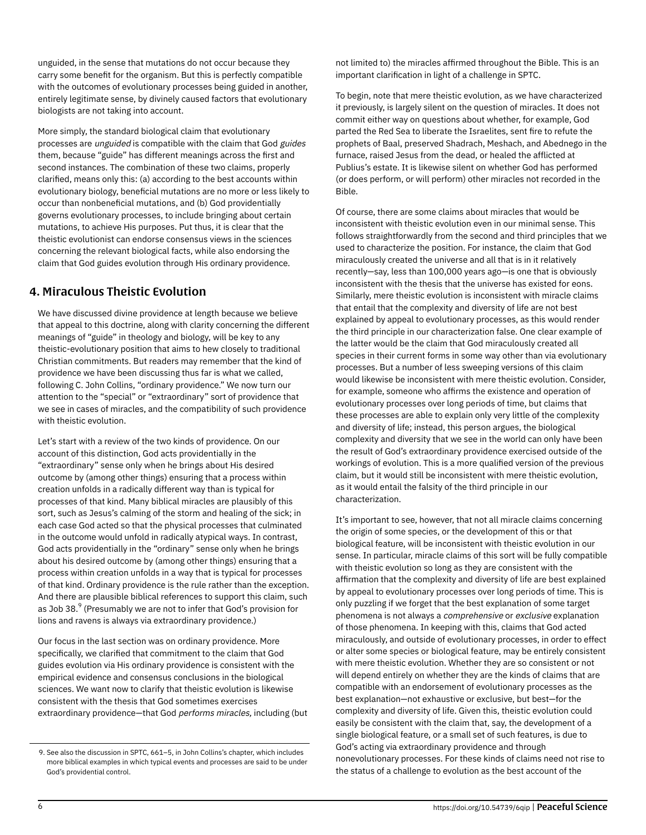unguided, in the sense that mutations do not occur because they carry some benefit for the organism. But this is perfectly compatible with the outcomes of evolutionary processes being guided in another, entirely legitimate sense, by divinely caused factors that evolutionary biologists are not taking into account.

More simply, the standard biological claim that evolutionary processes are unguided is compatible with the claim that God guides them, because "guide" has different meanings across the first and second instances. The combination of these two claims, properly clarified, means only this: (a) according to the best accounts within evolutionary biology, beneficial mutations are no more or less likely to occur than nonbeneficial mutations, and (b) God providentially governs evolutionary processes, to include bringing about certain mutations, to achieve His purposes. Put thus, it is clear that the theistic evolutionist can endorse consensus views in the sciences concerning the relevant biological facts, while also endorsing the claim that God guides evolution through His ordinary providence.

### 4. Miraculous Theistic Evolution

We have discussed divine providence at length because we believe that appeal to this doctrine, along with clarity concerning the different meanings of "guide" in theology and biology, will be key to any theistic-evolutionary position that aims to hew closely to traditional Christian commitments. But readers may remember that the kind of providence we have been discussing thus far is what we called, following C. John Collins, "ordinary providence." We now turn our attention to the "special" or "extraordinary" sort of providence that we see in cases of miracles, and the compatibility of such providence with theistic evolution.

Let's start with a review of the two kinds of providence. On our account of this distinction, God acts providentially in the "extraordinary" sense only when he brings about His desired outcome by (among other things) ensuring that a process within creation unfolds in a radically different way than is typical for processes of that kind. Many biblical miracles are plausibly of this sort, such as Jesus's calming of the storm and healing of the sick; in each case God acted so that the physical processes that culminated in the outcome would unfold in radically atypical ways. In contrast, God acts providentially in the "ordinary" sense only when he brings about his desired outcome by (among other things) ensuring that a process within creation unfolds in a way that is typical for processes of that kind. Ordinary providence is the rule rather than the exception. And there are plausible biblical references to support this claim, such as Job 38. $^9$  (Presumably we are not to infer that God's provision for lions and ravens is always via extraordinary providence.)

Our focus in the last section was on ordinary providence. More specifically, we clarified that commitment to the claim that God guides evolution via His ordinary providence is consistent with the empirical evidence and consensus conclusions in the biological sciences. We want now to clarify that theistic evolution is likewise consistent with the thesis that God sometimes exercises extraordinary providence—that God performs miracles, including (but not limited to) the miracles affirmed throughout the Bible. This is an important clarification in light of a challenge in SPTC.

To begin, note that mere theistic evolution, as we have characterized it previously, is largely silent on the question of miracles. It does not commit either way on questions about whether, for example, God parted the Red Sea to liberate the Israelites, sent fire to refute the prophets of Baal, preserved Shadrach, Meshach, and Abednego in the furnace, raised Jesus from the dead, or healed the afflicted at Publius's estate. It is likewise silent on whether God has performed (or does perform, or will perform) other miracles not recorded in the Bible.

Of course, there are some claims about miracles that would be inconsistent with theistic evolution even in our minimal sense. This follows straightforwardly from the second and third principles that we used to characterize the position. For instance, the claim that God miraculously created the universe and all that is in it relatively recently—say, less than 100,000 years ago—is one that is obviously inconsistent with the thesis that the universe has existed for eons. Similarly, mere theistic evolution is inconsistent with miracle claims that entail that the complexity and diversity of life are not best explained by appeal to evolutionary processes, as this would render the third principle in our characterization false. One clear example of the latter would be the claim that God miraculously created all species in their current forms in some way other than via evolutionary processes. But a number of less sweeping versions of this claim would likewise be inconsistent with mere theistic evolution. Consider, for example, someone who affirms the existence and operation of evolutionary processes over long periods of time, but claims that these processes are able to explain only very little of the complexity and diversity of life; instead, this person argues, the biological complexity and diversity that we see in the world can only have been the result of God's extraordinary providence exercised outside of the workings of evolution. This is a more qualified version of the previous claim, but it would still be inconsistent with mere theistic evolution, as it would entail the falsity of the third principle in our characterization.

It's important to see, however, that not all miracle claims concerning the origin of some species, or the development of this or that biological feature, will be inconsistent with theistic evolution in our sense. In particular, miracle claims of this sort will be fully compatible with theistic evolution so long as they are consistent with the affirmation that the complexity and diversity of life are best explained by appeal to evolutionary processes over long periods of time. This is only puzzling if we forget that the best explanation of some target phenomena is not always a comprehensive or exclusive explanation of those phenomena. In keeping with this, claims that God acted miraculously, and outside of evolutionary processes, in order to effect or alter some species or biological feature, may be entirely consistent with mere theistic evolution. Whether they are so consistent or not will depend entirely on whether they are the kinds of claims that are compatible with an endorsement of evolutionary processes as the best explanation—not exhaustive or exclusive, but best—for the complexity and diversity of life. Given this, theistic evolution could easily be consistent with the claim that, say, the development of a single biological feature, or a small set of such features, is due to God's acting via extraordinary providence and through nonevolutionary processes. For these kinds of claims need not rise to the status of a challenge to evolution as the best account of the

<sup>9.</sup> See also the discussion in SPTC, 661–5, in John Collins's chapter, which includes more biblical examples in which typical events and processes are said to be under God's providential control.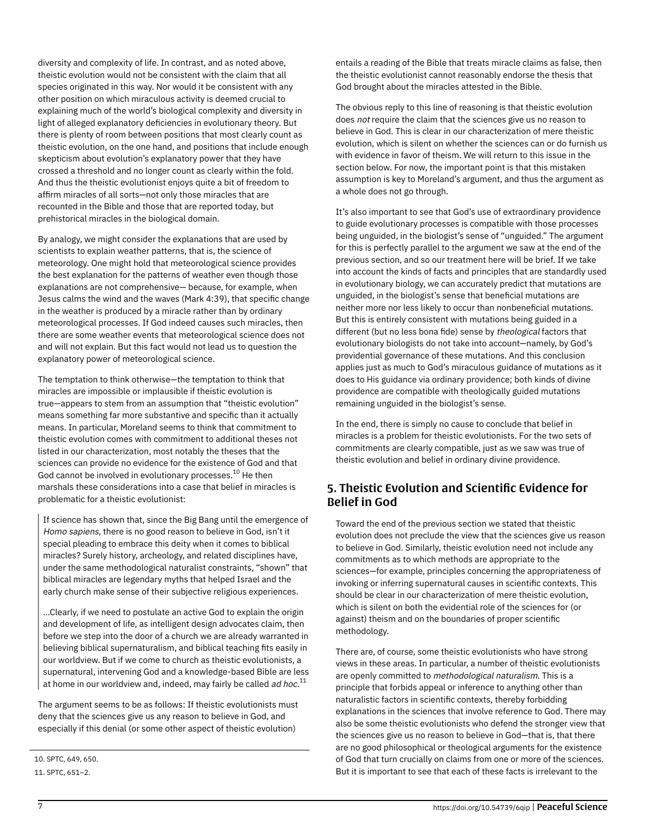diversity and complexity of life. In contrast, and as noted above, theistic evolution would not be consistent with the claim that all species originated in this way. Nor would it be consistent with any other position on which miraculous activity is deemed crucial to explaining much of the world's biological complexity and diversity in light of alleged explanatory deficiencies in evolutionary theory. But there is plenty of room between positions that most clearly count as theistic evolution, on the one hand, and positions that include enough skepticism about evolution's explanatory power that they have crossed a threshold and no longer count as clearly within the fold. And thus the theistic evolutionist enjoys quite a bit of freedom to affirm miracles of all sorts—not only those miracles that are recounted in the Bible and those that are reported today, but prehistorical miracles in the biological domain.

By analogy, we might consider the explanations that are used by scientists to explain weather patterns, that is, the science of meteorology. One might hold that meteorological science provides the best explanation for the patterns of weather even though those explanations are not comprehensive— because, for example, when Jesus calms the wind and the waves (Mark 4:39), that specific change in the weather is produced by a miracle rather than by ordinary meteorological processes. If God indeed causes such miracles, then there are some weather events that meteorological science does not and will not explain. But this fact would not lead us to question the explanatory power of meteorological science.

The temptation to think otherwise—the temptation to think that miracles are impossible or implausible if theistic evolution is true—appears to stem from an assumption that "theistic evolution" means something far more substantive and specific than it actually means. In particular, Moreland seems to think that commitment to theistic evolution comes with commitment to additional theses not listed in our characterization, most notably the theses that the sciences can provide no evidence for the existence of God and that God cannot be involved in evolutionary processes. $^{\mathrm{10}}$  He then marshals these considerations into a case that belief in miracles is problematic for a theistic evolutionist:

If science has shown that, since the Big Bang until the emergence of Homo sapiens, there is no good reason to believe in God, isn't it special pleading to embrace this deity when it comes to biblical miracles? Surely history, archeology, and related disciplines have, under the same methodological naturalist constraints, "shown" that biblical miracles are legendary myths that helped Israel and the early church make sense of their subjective religious experiences.

…Clearly, if we need to postulate an active God to explain the origin and development of life, as intelligent design advocates claim, then before we step into the door of a church we are already warranted in believing biblical supernaturalism, and biblical teaching fits easily in our worldview. But if we come to church as theistic evolutionists, a supernatural, intervening God and a knowledge-based Bible are less at home in our worldview and, indeed, may fairly be called *ad hoc.* $^{11}$ 

The argument seems to be as follows: If theistic evolutionists must deny that the sciences give us any reason to believe in God, and especially if this denial (or some other aspect of theistic evolution)

10. SPTC, 649, 650. 11. SPTC, 651–2.

entails a reading of the Bible that treats miracle claims as false, then the theistic evolutionist cannot reasonably endorse the thesis that God brought about the miracles attested in the Bible.

The obvious reply to this line of reasoning is that theistic evolution does not require the claim that the sciences give us no reason to believe in God. This is clear in our characterization of mere theistic evolution, which is silent on whether the sciences can or do furnish us with evidence in favor of theism. We will return to this issue in the section below. For now, the important point is that this mistaken assumption is key to Moreland's argument, and thus the argument as a whole does not go through.

It's also important to see that God's use of extraordinary providence to guide evolutionary processes is compatible with those processes being unguided, in the biologist's sense of "unguided." The argument for this is perfectly parallel to the argument we saw at the end of the previous section, and so our treatment here will be brief. If we take into account the kinds of facts and principles that are standardly used in evolutionary biology, we can accurately predict that mutations are unguided, in the biologist's sense that beneficial mutations are neither more nor less likely to occur than nonbeneficial mutations. But this is entirely consistent with mutations being guided in a different (but no less bona fide) sense by theological factors that evolutionary biologists do not take into account—namely, by God's providential governance of these mutations. And this conclusion applies just as much to God's miraculous guidance of mutations as it does to His guidance via ordinary providence; both kinds of divine providence are compatible with theologically guided mutations remaining unguided in the biologist's sense.

In the end, there is simply no cause to conclude that belief in miracles is a problem for theistic evolutionists. For the two sets of commitments are clearly compatible, just as we saw was true of theistic evolution and belief in ordinary divine providence.

#### 5. Theistic Evolution and Scientific Evidence for Belief in God

Toward the end of the previous section we stated that theistic evolution does not preclude the view that the sciences give us reason to believe in God. Similarly, theistic evolution need not include any commitments as to which methods are appropriate to the sciences—for example, principles concerning the appropriateness of invoking or inferring supernatural causes in scientific contexts. This should be clear in our characterization of mere theistic evolution, which is silent on both the evidential role of the sciences for (or against) theism and on the boundaries of proper scientific methodology.

There are, of course, some theistic evolutionists who have strong views in these areas. In particular, a number of theistic evolutionists are openly committed to methodological naturalism. This is a principle that forbids appeal or inference to anything other than naturalistic factors in scientific contexts, thereby forbidding explanations in the sciences that involve reference to God. There may also be some theistic evolutionists who defend the stronger view that the sciences give us no reason to believe in God—that is, that there are no good philosophical or theological arguments for the existence of God that turn crucially on claims from one or more of the sciences. But it is important to see that each of these facts is irrelevant to the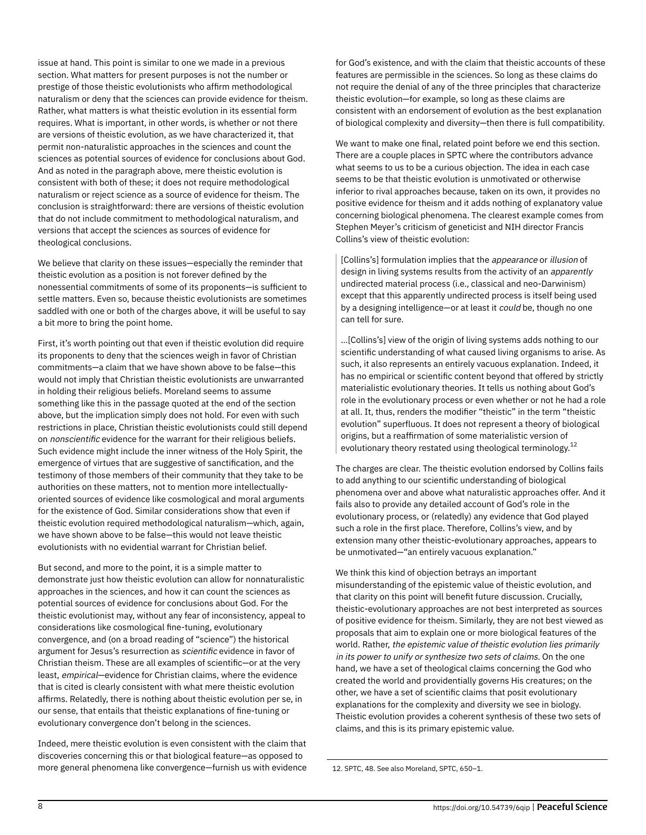issue at hand. This point is similar to one we made in a previous section. What matters for present purposes is not the number or prestige of those theistic evolutionists who affirm methodological naturalism or deny that the sciences can provide evidence for theism. Rather, what matters is what theistic evolution in its essential form requires. What is important, in other words, is whether or not there are versions of theistic evolution, as we have characterized it, that permit non-naturalistic approaches in the sciences and count the sciences as potential sources of evidence for conclusions about God. And as noted in the paragraph above, mere theistic evolution is consistent with both of these; it does not require methodological naturalism or reject science as a source of evidence for theism. The conclusion is straightforward: there are versions of theistic evolution that do not include commitment to methodological naturalism, and versions that accept the sciences as sources of evidence for theological conclusions.

We believe that clarity on these issues—especially the reminder that theistic evolution as a position is not forever defined by the nonessential commitments of some of its proponents—is sufficient to settle matters. Even so, because theistic evolutionists are sometimes saddled with one or both of the charges above, it will be useful to say a bit more to bring the point home.

First, it's worth pointing out that even if theistic evolution did require its proponents to deny that the sciences weigh in favor of Christian commitments—a claim that we have shown above to be false—this would not imply that Christian theistic evolutionists are unwarranted in holding their religious beliefs. Moreland seems to assume something like this in the passage quoted at the end of the section above, but the implication simply does not hold. For even with such restrictions in place, Christian theistic evolutionists could still depend on nonscientific evidence for the warrant for their religious beliefs. Such evidence might include the inner witness of the Holy Spirit, the emergence of virtues that are suggestive of sanctification, and the testimony of those members of their community that they take to be authorities on these matters, not to mention more intellectuallyoriented sources of evidence like cosmological and moral arguments for the existence of God. Similar considerations show that even if theistic evolution required methodological naturalism—which, again, we have shown above to be false—this would not leave theistic evolutionists with no evidential warrant for Christian belief.

But second, and more to the point, it is a simple matter to demonstrate just how theistic evolution can allow for nonnaturalistic approaches in the sciences, and how it can count the sciences as potential sources of evidence for conclusions about God. For the theistic evolutionist may, without any fear of inconsistency, appeal to considerations like cosmological fine-tuning, evolutionary convergence, and (on a broad reading of "science") the historical argument for Jesus's resurrection as scientific evidence in favor of Christian theism. These are all examples of scientific—or at the very least, empirical—evidence for Christian claims, where the evidence that is cited is clearly consistent with what mere theistic evolution affirms. Relatedly, there is nothing about theistic evolution per se, in our sense, that entails that theistic explanations of fine-tuning or evolutionary convergence don't belong in the sciences.

Indeed, mere theistic evolution is even consistent with the claim that discoveries concerning this or that biological feature—as opposed to more general phenomena like convergence—furnish us with evidence for God's existence, and with the claim that theistic accounts of these features are permissible in the sciences. So long as these claims do not require the denial of any of the three principles that characterize theistic evolution—for example, so long as these claims are consistent with an endorsement of evolution as the best explanation of biological complexity and diversity—then there is full compatibility.

We want to make one final, related point before we end this section. There are a couple places in SPTC where the contributors advance what seems to us to be a curious objection. The idea in each case seems to be that theistic evolution is unmotivated or otherwise inferior to rival approaches because, taken on its own, it provides no positive evidence for theism and it adds nothing of explanatory value concerning biological phenomena. The clearest example comes from Stephen Meyer's criticism of geneticist and NIH director Francis Collins's view of theistic evolution:

[Collins's] formulation implies that the appearance or illusion of design in living systems results from the activity of an apparently undirected material process (i.e., classical and neo-Darwinism) except that this apparently undirected process is itself being used by a designing intelligence—or at least it could be, though no one can tell for sure.

…[Collins's] view of the origin of living systems adds nothing to our scientific understanding of what caused living organisms to arise. As such, it also represents an entirely vacuous explanation. Indeed, it has no empirical or scientific content beyond that offered by strictly materialistic evolutionary theories. It tells us nothing about God's role in the evolutionary process or even whether or not he had a role at all. It, thus, renders the modifier "theistic" in the term "theistic evolution" superfluous. It does not represent a theory of biological origins, but a reaffirmation of some materialistic version of evolutionary theory restated using theological terminology. $^{12}$ 

The charges are clear. The theistic evolution endorsed by Collins fails to add anything to our scientific understanding of biological phenomena over and above what naturalistic approaches offer. And it fails also to provide any detailed account of God's role in the evolutionary process, or (relatedly) any evidence that God played such a role in the first place. Therefore, Collins's view, and by extension many other theistic-evolutionary approaches, appears to be unmotivated—"an entirely vacuous explanation."

We think this kind of objection betrays an important misunderstanding of the epistemic value of theistic evolution, and that clarity on this point will benefit future discussion. Crucially, theistic-evolutionary approaches are not best interpreted as sources of positive evidence for theism. Similarly, they are not best viewed as proposals that aim to explain one or more biological features of the world. Rather, the epistemic value of theistic evolution lies primarily in its power to unify or synthesize two sets of claims. On the one hand, we have a set of theological claims concerning the God who created the world and providentially governs His creatures; on the other, we have a set of scientific claims that posit evolutionary explanations for the complexity and diversity we see in biology. Theistic evolution provides a coherent synthesis of these two sets of claims, and this is its primary epistemic value.

12. SPTC, 48. See also Moreland, SPTC, 650–1.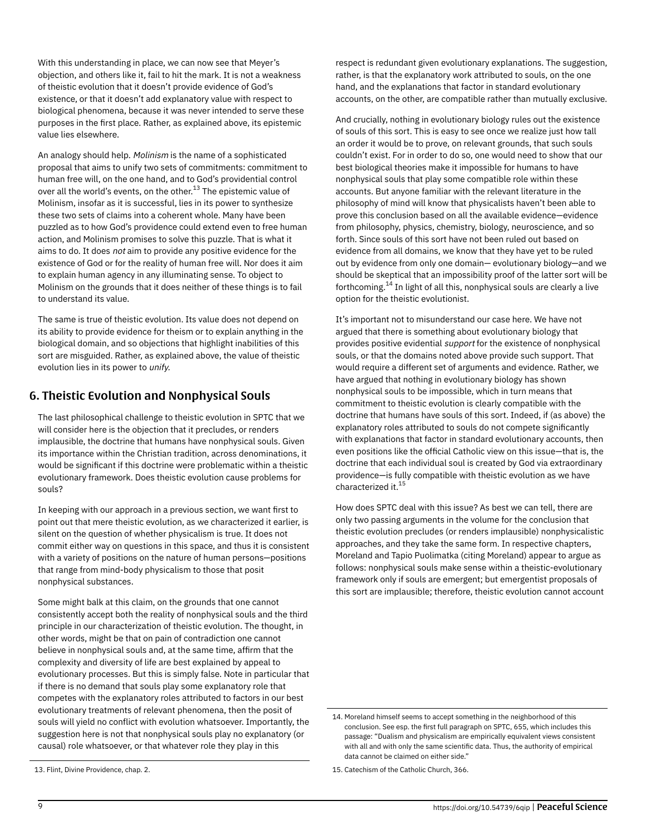With this understanding in place, we can now see that Meyer's objection, and others like it, fail to hit the mark. It is not a weakness of theistic evolution that it doesn't provide evidence of God's existence, or that it doesn't add explanatory value with respect to biological phenomena, because it was never intended to serve these purposes in the first place. Rather, as explained above, its epistemic value lies elsewhere.

An analogy should help. Molinism is the name of a sophisticated proposal that aims to unify two sets of commitments: commitment to human free will, on the one hand, and to God's providential control over all the world's events, on the other.<sup>13</sup> The epistemic value of Molinism, insofar as it is successful, lies in its power to synthesize these two sets of claims into a coherent whole. Many have been puzzled as to how God's providence could extend even to free human action, and Molinism promises to solve this puzzle. That is what it aims to do. It does not aim to provide any positive evidence for the existence of God or for the reality of human free will. Nor does it aim to explain human agency in any illuminating sense. To object to Molinism on the grounds that it does neither of these things is to fail to understand its value.

The same is true of theistic evolution. Its value does not depend on its ability to provide evidence for theism or to explain anything in the biological domain, and so objections that highlight inabilities of this sort are misguided. Rather, as explained above, the value of theistic evolution lies in its power to unify.

#### 6. Theistic Evolution and Nonphysical Souls

The last philosophical challenge to theistic evolution in SPTC that we will consider here is the objection that it precludes, or renders implausible, the doctrine that humans have nonphysical souls. Given its importance within the Christian tradition, across denominations, it would be significant if this doctrine were problematic within a theistic evolutionary framework. Does theistic evolution cause problems for souls?

In keeping with our approach in a previous section, we want first to point out that mere theistic evolution, as we characterized it earlier, is silent on the question of whether physicalism is true. It does not commit either way on questions in this space, and thus it is consistent with a variety of positions on the nature of human persons—positions that range from mind-body physicalism to those that posit nonphysical substances.

Some might balk at this claim, on the grounds that one cannot consistently accept both the reality of nonphysical souls and the third principle in our characterization of theistic evolution. The thought, in other words, might be that on pain of contradiction one cannot believe in nonphysical souls and, at the same time, affirm that the complexity and diversity of life are best explained by appeal to evolutionary processes. But this is simply false. Note in particular that if there is no demand that souls play some explanatory role that competes with the explanatory roles attributed to factors in our best evolutionary treatments of relevant phenomena, then the posit of souls will yield no conflict with evolution whatsoever. Importantly, the suggestion here is not that nonphysical souls play no explanatory (or causal) role whatsoever, or that whatever role they play in this

respect is redundant given evolutionary explanations. The suggestion, rather, is that the explanatory work attributed to souls, on the one hand, and the explanations that factor in standard evolutionary accounts, on the other, are compatible rather than mutually exclusive.

And crucially, nothing in evolutionary biology rules out the existence of souls of this sort. This is easy to see once we realize just how tall an order it would be to prove, on relevant grounds, that such souls couldn't exist. For in order to do so, one would need to show that our best biological theories make it impossible for humans to have nonphysical souls that play some compatible role within these accounts. But anyone familiar with the relevant literature in the philosophy of mind will know that physicalists haven't been able to prove this conclusion based on all the available evidence—evidence from philosophy, physics, chemistry, biology, neuroscience, and so forth. Since souls of this sort have not been ruled out based on evidence from all domains, we know that they have yet to be ruled out by evidence from only one domain— evolutionary biology—and we should be skeptical that an impossibility proof of the latter sort will be forthcoming. $^{\rm 14}$  In light of all this, nonphysical souls are clearly a live option for the theistic evolutionist.

It's important not to misunderstand our case here. We have not argued that there is something about evolutionary biology that provides positive evidential support for the existence of nonphysical souls, or that the domains noted above provide such support. That would require a different set of arguments and evidence. Rather, we have argued that nothing in evolutionary biology has shown nonphysical souls to be impossible, which in turn means that commitment to theistic evolution is clearly compatible with the doctrine that humans have souls of this sort. Indeed, if (as above) the explanatory roles attributed to souls do not compete significantly with explanations that factor in standard evolutionary accounts, then even positions like the official Catholic view on this issue—that is, the doctrine that each individual soul is created by God via extraordinary providence—is fully compatible with theistic evolution as we have characterized it.<sup>15</sup>

How does SPTC deal with this issue? As best we can tell, there are only two passing arguments in the volume for the conclusion that theistic evolution precludes (or renders implausible) nonphysicalistic approaches, and they take the same form. In respective chapters, Moreland and Tapio Puolimatka (citing Moreland) appear to argue as follows: nonphysical souls make sense within a theistic-evolutionary framework only if souls are emergent; but emergentist proposals of this sort are implausible; therefore, theistic evolution cannot account

<sup>13.</sup> Flint, Divine Providence, chap. 2.

<sup>14.</sup> Moreland himself seems to accept something in the neighborhood of this conclusion. See esp. the first full paragraph on SPTC, 655, which includes this passage: "Dualism and physicalism are empirically equivalent views consistent with all and with only the same scientific data. Thus, the authority of empirical data cannot be claimed on either side."

<sup>15.</sup> Catechism of the Catholic Church, 366.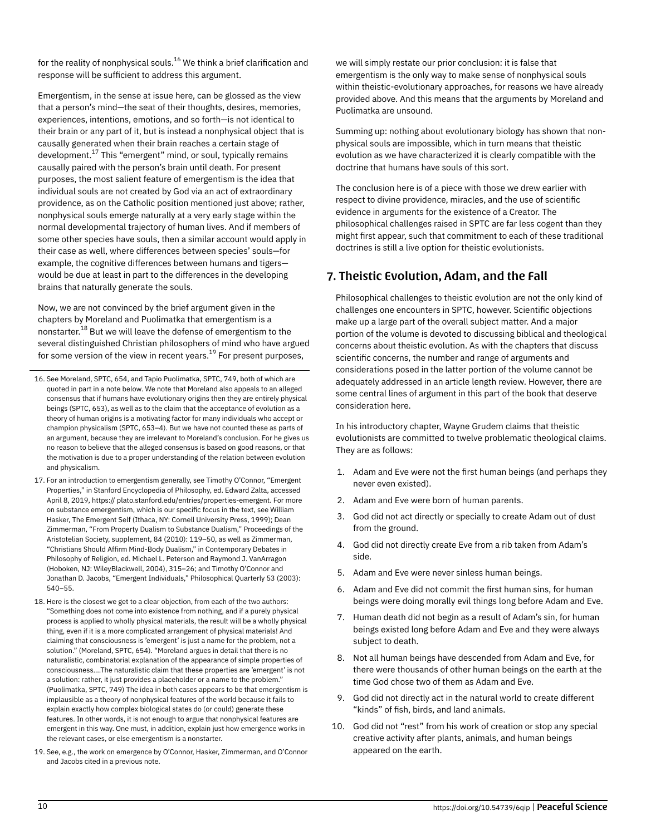for the reality of nonphysical souls.<sup>16</sup> We think a brief clarification and response will be sufficient to address this argument.

Emergentism, in the sense at issue here, can be glossed as the view that a person's mind—the seat of their thoughts, desires, memories, experiences, intentions, emotions, and so forth—is not identical to their brain or any part of it, but is instead a nonphysical object that is causally generated when their brain reaches a certain stage of development.<sup>17</sup> This "emergent" mind, or soul, typically remains causally paired with the person's brain until death. For present purposes, the most salient feature of emergentism is the idea that individual souls are not created by God via an act of extraordinary providence, as on the Catholic position mentioned just above; rather, nonphysical souls emerge naturally at a very early stage within the normal developmental trajectory of human lives. And if members of some other species have souls, then a similar account would apply in their case as well, where differences between species' souls—for example, the cognitive differences between humans and tigers would be due at least in part to the differences in the developing brains that naturally generate the souls.

Now, we are not convinced by the brief argument given in the chapters by Moreland and Puolimatka that emergentism is a nonstarter.<sup>18</sup> But we will leave the defense of emergentism to the several distinguished Christian philosophers of mind who have argued for some version of the view in recent years.<sup>19</sup> For present purposes,

- 16. See Moreland, SPTC, 654, and Tapio Puolimatka, SPTC, 749, both of which are quoted in part in a note below. We note that Moreland also appeals to an alleged consensus that if humans have evolutionary origins then they are entirely physical beings (SPTC, 653), as well as to the claim that the acceptance of evolution as a theory of human origins is a motivating factor for many individuals who accept or champion physicalism (SPTC, 653–4). But we have not counted these as parts of an argument, because they are irrelevant to Moreland's conclusion. For he gives us no reason to believe that the alleged consensus is based on good reasons, or that the motivation is due to a proper understanding of the relation between evolution and physicalism.
- 17. For an introduction to emergentism generally, see Timothy O'Connor, "Emergent Properties," in Stanford Encyclopedia of Philosophy, ed. Edward Zalta, accessed April 8, 2019, https:// plato.stanford.edu/entries/properties-emergent. For more on substance emergentism, which is our specific focus in the text, see William Hasker, The Emergent Self (Ithaca, NY: Cornell University Press, 1999); Dean Zimmerman, "From Property Dualism to Substance Dualism," Proceedings of the Aristotelian Society, supplement, 84 (2010): 119–50, as well as Zimmerman, "Christians Should Affirm Mind-Body Dualism," in Contemporary Debates in Philosophy of Religion, ed. Michael L. Peterson and Raymond J. VanArragon (Hoboken, NJ: WileyBlackwell, 2004), 315–26; and Timothy O'Connor and Jonathan D. Jacobs, "Emergent Individuals," Philosophical Quarterly 53 (2003): 540–55.
- 18. Here is the closest we get to a clear objection, from each of the two authors: "Something does not come into existence from nothing, and if a purely physical process is applied to wholly physical materials, the result will be a wholly physical thing, even if it is a more complicated arrangement of physical materials! And claiming that consciousness is 'emergent' is just a name for the problem, not a solution." (Moreland, SPTC, 654). "Moreland argues in detail that there is no naturalistic, combinatorial explanation of the appearance of simple properties of consciousness….The naturalistic claim that these properties are 'emergent' is not a solution: rather, it just provides a placeholder or a name to the problem." (Puolimatka, SPTC, 749) The idea in both cases appears to be that emergentism is implausible as a theory of nonphysical features of the world because it fails to explain exactly how complex biological states do (or could) generate these features. In other words, it is not enough to argue that nonphysical features are emergent in this way. One must, in addition, explain just how emergence works in the relevant cases, or else emergentism is a nonstarter.
- 19. See, e.g., the work on emergence by O'Connor, Hasker, Zimmerman, and O'Connor and Jacobs cited in a previous note.

we will simply restate our prior conclusion: it is false that emergentism is the only way to make sense of nonphysical souls within theistic-evolutionary approaches, for reasons we have already provided above. And this means that the arguments by Moreland and Puolimatka are unsound.

Summing up: nothing about evolutionary biology has shown that nonphysical souls are impossible, which in turn means that theistic evolution as we have characterized it is clearly compatible with the doctrine that humans have souls of this sort.

The conclusion here is of a piece with those we drew earlier with respect to divine providence, miracles, and the use of scientific evidence in arguments for the existence of a Creator. The philosophical challenges raised in SPTC are far less cogent than they might first appear, such that commitment to each of these traditional doctrines is still a live option for theistic evolutionists.

#### 7. Theistic Evolution, Adam, and the Fall

Philosophical challenges to theistic evolution are not the only kind of challenges one encounters in SPTC, however. Scientific objections make up a large part of the overall subject matter. And a major portion of the volume is devoted to discussing biblical and theological concerns about theistic evolution. As with the chapters that discuss scientific concerns, the number and range of arguments and considerations posed in the latter portion of the volume cannot be adequately addressed in an article length review. However, there are some central lines of argument in this part of the book that deserve consideration here.

In his introductory chapter, Wayne Grudem claims that theistic evolutionists are committed to twelve problematic theological claims. They are as follows:

- 1. Adam and Eve were not the first human beings (and perhaps they never even existed).
- 2. Adam and Eve were born of human parents.
- 3. God did not act directly or specially to create Adam out of dust from the ground.
- 4. God did not directly create Eve from a rib taken from Adam's side.
- 5. Adam and Eve were never sinless human beings.
- 6. Adam and Eve did not commit the first human sins, for human beings were doing morally evil things long before Adam and Eve.
- 7. Human death did not begin as a result of Adam's sin, for human beings existed long before Adam and Eve and they were always subject to death.
- 8. Not all human beings have descended from Adam and Eve, for there were thousands of other human beings on the earth at the time God chose two of them as Adam and Eve.
- 9. God did not directly act in the natural world to create different "kinds" of fish, birds, and land animals.
- 10. God did not "rest" from his work of creation or stop any special creative activity after plants, animals, and human beings appeared on the earth.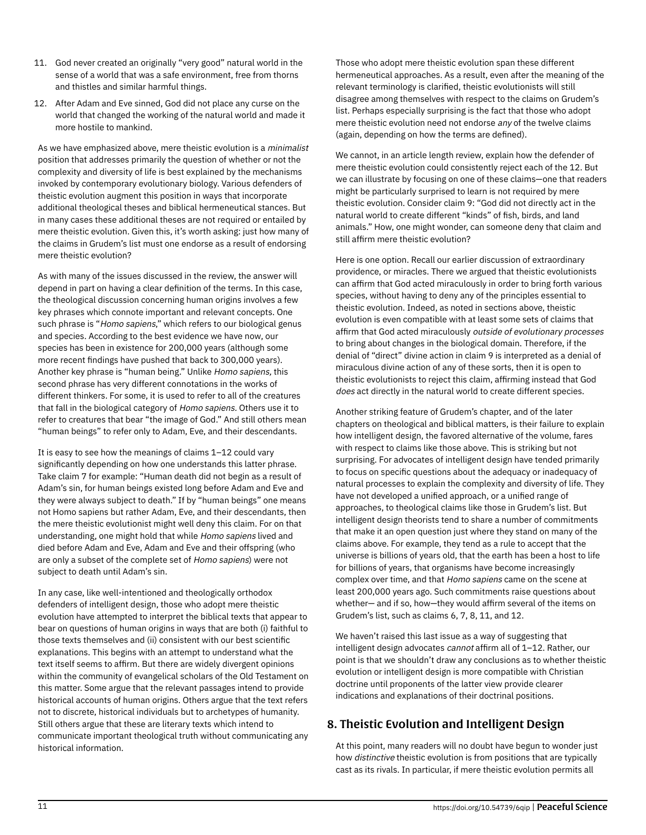- 11. God never created an originally "very good" natural world in the sense of a world that was a safe environment, free from thorns and thistles and similar harmful things.
- 12. After Adam and Eve sinned, God did not place any curse on the world that changed the working of the natural world and made it more hostile to mankind.

As we have emphasized above, mere theistic evolution is a *minimalist* position that addresses primarily the question of whether or not the complexity and diversity of life is best explained by the mechanisms invoked by contemporary evolutionary biology. Various defenders of theistic evolution augment this position in ways that incorporate additional theological theses and biblical hermeneutical stances. But in many cases these additional theses are not required or entailed by mere theistic evolution. Given this, it's worth asking: just how many of the claims in Grudem's list must one endorse as a result of endorsing mere theistic evolution?

As with many of the issues discussed in the review, the answer will depend in part on having a clear definition of the terms. In this case, the theological discussion concerning human origins involves a few key phrases which connote important and relevant concepts. One such phrase is "Homo sapiens," which refers to our biological genus and species. According to the best evidence we have now, our species has been in existence for 200,000 years (although some more recent findings have pushed that back to 300,000 years). Another key phrase is "human being." Unlike Homo sapiens, this second phrase has very different connotations in the works of different thinkers. For some, it is used to refer to all of the creatures that fall in the biological category of Homo sapiens. Others use it to refer to creatures that bear "the image of God." And still others mean "human beings" to refer only to Adam, Eve, and their descendants.

It is easy to see how the meanings of claims 1–12 could vary significantly depending on how one understands this latter phrase. Take claim 7 for example: "Human death did not begin as a result of Adam's sin, for human beings existed long before Adam and Eve and they were always subject to death." If by "human beings" one means not Homo sapiens but rather Adam, Eve, and their descendants, then the mere theistic evolutionist might well deny this claim. For on that understanding, one might hold that while Homo sapiens lived and died before Adam and Eve, Adam and Eve and their offspring (who are only a subset of the complete set of Homo sapiens) were not subject to death until Adam's sin.

In any case, like well-intentioned and theologically orthodox defenders of intelligent design, those who adopt mere theistic evolution have attempted to interpret the biblical texts that appear to bear on questions of human origins in ways that are both (i) faithful to those texts themselves and (ii) consistent with our best scientific explanations. This begins with an attempt to understand what the text itself seems to affirm. But there are widely divergent opinions within the community of evangelical scholars of the Old Testament on this matter. Some argue that the relevant passages intend to provide historical accounts of human origins. Others argue that the text refers not to discrete, historical individuals but to archetypes of humanity. Still others argue that these are literary texts which intend to communicate important theological truth without communicating any historical information.

Those who adopt mere theistic evolution span these different hermeneutical approaches. As a result, even after the meaning of the relevant terminology is clarified, theistic evolutionists will still disagree among themselves with respect to the claims on Grudem's list. Perhaps especially surprising is the fact that those who adopt mere theistic evolution need not endorse any of the twelve claims (again, depending on how the terms are defined).

We cannot, in an article length review, explain how the defender of mere theistic evolution could consistently reject each of the 12. But we can illustrate by focusing on one of these claims—one that readers might be particularly surprised to learn is not required by mere theistic evolution. Consider claim 9: "God did not directly act in the natural world to create different "kinds" of fish, birds, and land animals." How, one might wonder, can someone deny that claim and still affirm mere theistic evolution?

Here is one option. Recall our earlier discussion of extraordinary providence, or miracles. There we argued that theistic evolutionists can affirm that God acted miraculously in order to bring forth various species, without having to deny any of the principles essential to theistic evolution. Indeed, as noted in sections above, theistic evolution is even compatible with at least some sets of claims that affirm that God acted miraculously outside of evolutionary processes to bring about changes in the biological domain. Therefore, if the denial of "direct" divine action in claim 9 is interpreted as a denial of miraculous divine action of any of these sorts, then it is open to theistic evolutionists to reject this claim, affirming instead that God does act directly in the natural world to create different species.

Another striking feature of Grudem's chapter, and of the later chapters on theological and biblical matters, is their failure to explain how intelligent design, the favored alternative of the volume, fares with respect to claims like those above. This is striking but not surprising. For advocates of intelligent design have tended primarily to focus on specific questions about the adequacy or inadequacy of natural processes to explain the complexity and diversity of life. They have not developed a unified approach, or a unified range of approaches, to theological claims like those in Grudem's list. But intelligent design theorists tend to share a number of commitments that make it an open question just where they stand on many of the claims above. For example, they tend as a rule to accept that the universe is billions of years old, that the earth has been a host to life for billions of years, that organisms have become increasingly complex over time, and that Homo sapiens came on the scene at least 200,000 years ago. Such commitments raise questions about whether— and if so, how—they would affirm several of the items on Grudem's list, such as claims 6, 7, 8, 11, and 12.

We haven't raised this last issue as a way of suggesting that intelligent design advocates cannot affirm all of 1–12. Rather, our point is that we shouldn't draw any conclusions as to whether theistic evolution or intelligent design is more compatible with Christian doctrine until proponents of the latter view provide clearer indications and explanations of their doctrinal positions.

## 8. Theistic Evolution and Intelligent Design

At this point, many readers will no doubt have begun to wonder just how distinctive theistic evolution is from positions that are typically cast as its rivals. In particular, if mere theistic evolution permits all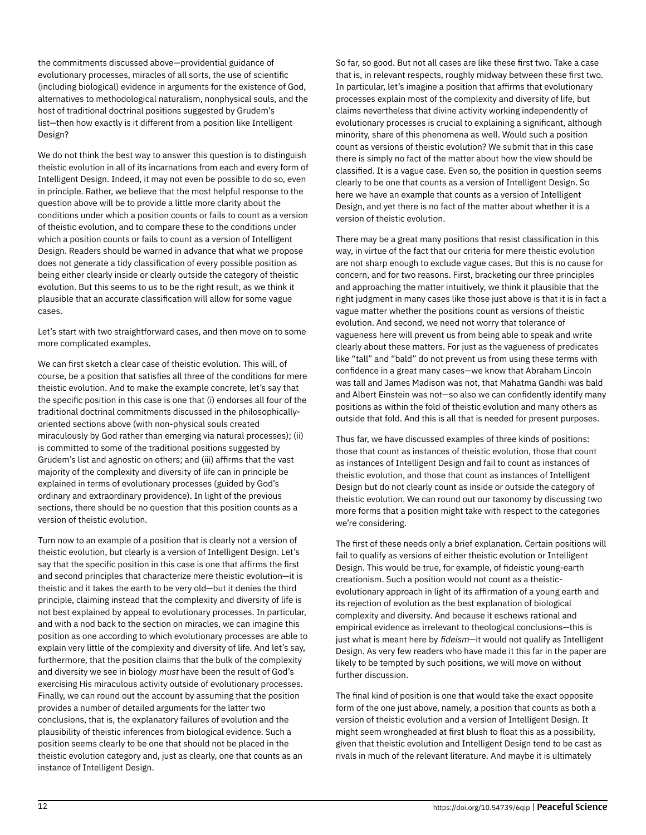the commitments discussed above—providential guidance of evolutionary processes, miracles of all sorts, the use of scientific (including biological) evidence in arguments for the existence of God, alternatives to methodological naturalism, nonphysical souls, and the host of traditional doctrinal positions suggested by Grudem's list—then how exactly is it different from a position like Intelligent Design?

We do not think the best way to answer this question is to distinguish theistic evolution in all of its incarnations from each and every form of Intelligent Design. Indeed, it may not even be possible to do so, even in principle. Rather, we believe that the most helpful response to the question above will be to provide a little more clarity about the conditions under which a position counts or fails to count as a version of theistic evolution, and to compare these to the conditions under which a position counts or fails to count as a version of Intelligent Design. Readers should be warned in advance that what we propose does not generate a tidy classification of every possible position as being either clearly inside or clearly outside the category of theistic evolution. But this seems to us to be the right result, as we think it plausible that an accurate classification will allow for some vague cases.

Let's start with two straightforward cases, and then move on to some more complicated examples.

We can first sketch a clear case of theistic evolution. This will, of course, be a position that satisfies all three of the conditions for mere theistic evolution. And to make the example concrete, let's say that the specific position in this case is one that (i) endorses all four of the traditional doctrinal commitments discussed in the philosophicallyoriented sections above (with non-physical souls created miraculously by God rather than emerging via natural processes); (ii) is committed to some of the traditional positions suggested by Grudem's list and agnostic on others; and (iii) affirms that the vast majority of the complexity and diversity of life can in principle be explained in terms of evolutionary processes (guided by God's ordinary and extraordinary providence). In light of the previous sections, there should be no question that this position counts as a version of theistic evolution.

Turn now to an example of a position that is clearly not a version of theistic evolution, but clearly is a version of Intelligent Design. Let's say that the specific position in this case is one that affirms the first and second principles that characterize mere theistic evolution—it is theistic and it takes the earth to be very old—but it denies the third principle, claiming instead that the complexity and diversity of life is not best explained by appeal to evolutionary processes. In particular, and with a nod back to the section on miracles, we can imagine this position as one according to which evolutionary processes are able to explain very little of the complexity and diversity of life. And let's say, furthermore, that the position claims that the bulk of the complexity and diversity we see in biology must have been the result of God's exercising His miraculous activity outside of evolutionary processes. Finally, we can round out the account by assuming that the position provides a number of detailed arguments for the latter two conclusions, that is, the explanatory failures of evolution and the plausibility of theistic inferences from biological evidence. Such a position seems clearly to be one that should not be placed in the theistic evolution category and, just as clearly, one that counts as an instance of Intelligent Design.

So far, so good. But not all cases are like these first two. Take a case that is, in relevant respects, roughly midway between these first two. In particular, let's imagine a position that affirms that evolutionary processes explain most of the complexity and diversity of life, but claims nevertheless that divine activity working independently of evolutionary processes is crucial to explaining a significant, although minority, share of this phenomena as well. Would such a position count as versions of theistic evolution? We submit that in this case there is simply no fact of the matter about how the view should be classified. It is a vague case. Even so, the position in question seems clearly to be one that counts as a version of Intelligent Design. So here we have an example that counts as a version of Intelligent Design, and yet there is no fact of the matter about whether it is a version of theistic evolution.

There may be a great many positions that resist classification in this way, in virtue of the fact that our criteria for mere theistic evolution are not sharp enough to exclude vague cases. But this is no cause for concern, and for two reasons. First, bracketing our three principles and approaching the matter intuitively, we think it plausible that the right judgment in many cases like those just above is that it is in fact a vague matter whether the positions count as versions of theistic evolution. And second, we need not worry that tolerance of vagueness here will prevent us from being able to speak and write clearly about these matters. For just as the vagueness of predicates like "tall" and "bald" do not prevent us from using these terms with confidence in a great many cases—we know that Abraham Lincoln was tall and James Madison was not, that Mahatma Gandhi was bald and Albert Einstein was not—so also we can confidently identify many positions as within the fold of theistic evolution and many others as outside that fold. And this is all that is needed for present purposes.

Thus far, we have discussed examples of three kinds of positions: those that count as instances of theistic evolution, those that count as instances of Intelligent Design and fail to count as instances of theistic evolution, and those that count as instances of Intelligent Design but do not clearly count as inside or outside the category of theistic evolution. We can round out our taxonomy by discussing two more forms that a position might take with respect to the categories we're considering.

The first of these needs only a brief explanation. Certain positions will fail to qualify as versions of either theistic evolution or Intelligent Design. This would be true, for example, of fideistic young-earth creationism. Such a position would not count as a theisticevolutionary approach in light of its affirmation of a young earth and its rejection of evolution as the best explanation of biological complexity and diversity. And because it eschews rational and empirical evidence as irrelevant to theological conclusions—this is just what is meant here by fideism-it would not qualify as Intelligent Design. As very few readers who have made it this far in the paper are likely to be tempted by such positions, we will move on without further discussion.

The final kind of position is one that would take the exact opposite form of the one just above, namely, a position that counts as both a version of theistic evolution and a version of Intelligent Design. It might seem wrongheaded at first blush to float this as a possibility, given that theistic evolution and Intelligent Design tend to be cast as rivals in much of the relevant literature. And maybe it is ultimately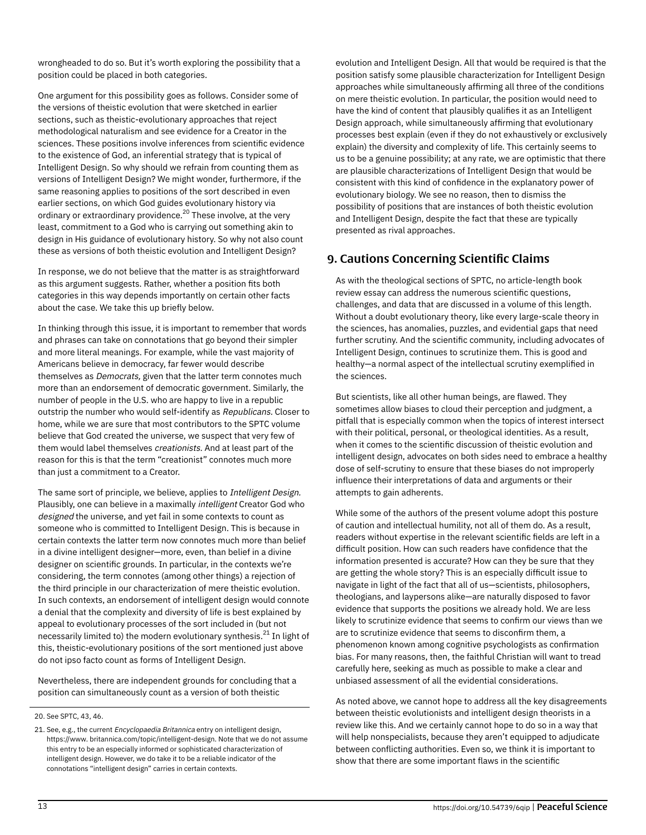wrongheaded to do so. But it's worth exploring the possibility that a position could be placed in both categories.

One argument for this possibility goes as follows. Consider some of the versions of theistic evolution that were sketched in earlier sections, such as theistic-evolutionary approaches that reject methodological naturalism and see evidence for a Creator in the sciences. These positions involve inferences from scientific evidence to the existence of God, an inferential strategy that is typical of Intelligent Design. So why should we refrain from counting them as versions of Intelligent Design? We might wonder, furthermore, if the same reasoning applies to positions of the sort described in even earlier sections, on which God guides evolutionary history via ordinary or extraordinary providence.<sup>20</sup> These involve, at the very least, commitment to a God who is carrying out something akin to design in His guidance of evolutionary history. So why not also count these as versions of both theistic evolution and Intelligent Design?

In response, we do not believe that the matter is as straightforward as this argument suggests. Rather, whether a position fits both categories in this way depends importantly on certain other facts about the case. We take this up briefly below.

In thinking through this issue, it is important to remember that words and phrases can take on connotations that go beyond their simpler and more literal meanings. For example, while the vast majority of Americans believe in democracy, far fewer would describe themselves as Democrats, given that the latter term connotes much more than an endorsement of democratic government. Similarly, the number of people in the U.S. who are happy to live in a republic outstrip the number who would self-identify as Republicans. Closer to home, while we are sure that most contributors to the SPTC volume believe that God created the universe, we suspect that very few of them would label themselves creationists. And at least part of the reason for this is that the term "creationist" connotes much more than just a commitment to a Creator.

The same sort of principle, we believe, applies to Intelligent Design. Plausibly, one can believe in a maximally intelligent Creator God who designed the universe, and yet fail in some contexts to count as someone who is committed to Intelligent Design. This is because in certain contexts the latter term now connotes much more than belief in a divine intelligent designer—more, even, than belief in a divine designer on scientific grounds. In particular, in the contexts we're considering, the term connotes (among other things) a rejection of the third principle in our characterization of mere theistic evolution. In such contexts, an endorsement of intelligent design would connote a denial that the complexity and diversity of life is best explained by appeal to evolutionary processes of the sort included in (but not necessarily limited to) the modern evolutionary synthesis. $^\mathrm{21}$  In light of this, theistic-evolutionary positions of the sort mentioned just above do not ipso facto count as forms of Intelligent Design.

Nevertheless, there are independent grounds for concluding that a position can simultaneously count as a version of both theistic

evolution and Intelligent Design. All that would be required is that the position satisfy some plausible characterization for Intelligent Design approaches while simultaneously affirming all three of the conditions on mere theistic evolution. In particular, the position would need to have the kind of content that plausibly qualifies it as an Intelligent Design approach, while simultaneously affirming that evolutionary processes best explain (even if they do not exhaustively or exclusively explain) the diversity and complexity of life. This certainly seems to us to be a genuine possibility; at any rate, we are optimistic that there are plausible characterizations of Intelligent Design that would be consistent with this kind of confidence in the explanatory power of evolutionary biology. We see no reason, then to dismiss the possibility of positions that are instances of both theistic evolution and Intelligent Design, despite the fact that these are typically presented as rival approaches.

#### 9. Cautions Concerning Scientific Claims

As with the theological sections of SPTC, no article-length book review essay can address the numerous scientific questions, challenges, and data that are discussed in a volume of this length. Without a doubt evolutionary theory, like every large-scale theory in the sciences, has anomalies, puzzles, and evidential gaps that need further scrutiny. And the scientific community, including advocates of Intelligent Design, continues to scrutinize them. This is good and healthy—a normal aspect of the intellectual scrutiny exemplified in the sciences.

But scientists, like all other human beings, are flawed. They sometimes allow biases to cloud their perception and judgment, a pitfall that is especially common when the topics of interest intersect with their political, personal, or theological identities. As a result, when it comes to the scientific discussion of theistic evolution and intelligent design, advocates on both sides need to embrace a healthy dose of self-scrutiny to ensure that these biases do not improperly influence their interpretations of data and arguments or their attempts to gain adherents.

While some of the authors of the present volume adopt this posture of caution and intellectual humility, not all of them do. As a result, readers without expertise in the relevant scientific fields are left in a difficult position. How can such readers have confidence that the information presented is accurate? How can they be sure that they are getting the whole story? This is an especially difficult issue to navigate in light of the fact that all of us—scientists, philosophers, theologians, and laypersons alike—are naturally disposed to favor evidence that supports the positions we already hold. We are less likely to scrutinize evidence that seems to confirm our views than we are to scrutinize evidence that seems to disconfirm them, a phenomenon known among cognitive psychologists as confirmation bias. For many reasons, then, the faithful Christian will want to tread carefully here, seeking as much as possible to make a clear and unbiased assessment of all the evidential considerations.

As noted above, we cannot hope to address all the key disagreements between theistic evolutionists and intelligent design theorists in a review like this. And we certainly cannot hope to do so in a way that will help nonspecialists, because they aren't equipped to adjudicate between conflicting authorities. Even so, we think it is important to show that there are some important flaws in the scientific

<sup>20.</sup> See SPTC, 43, 46.

<sup>21.</sup> See, e.g., the current Encyclopaedia Britannica entry on intelligent design, https://www. britannica.com/topic/intelligent-design. Note that we do not assume this entry to be an especially informed or sophisticated characterization of intelligent design. However, we do take it to be a reliable indicator of the connotations "intelligent design" carries in certain contexts.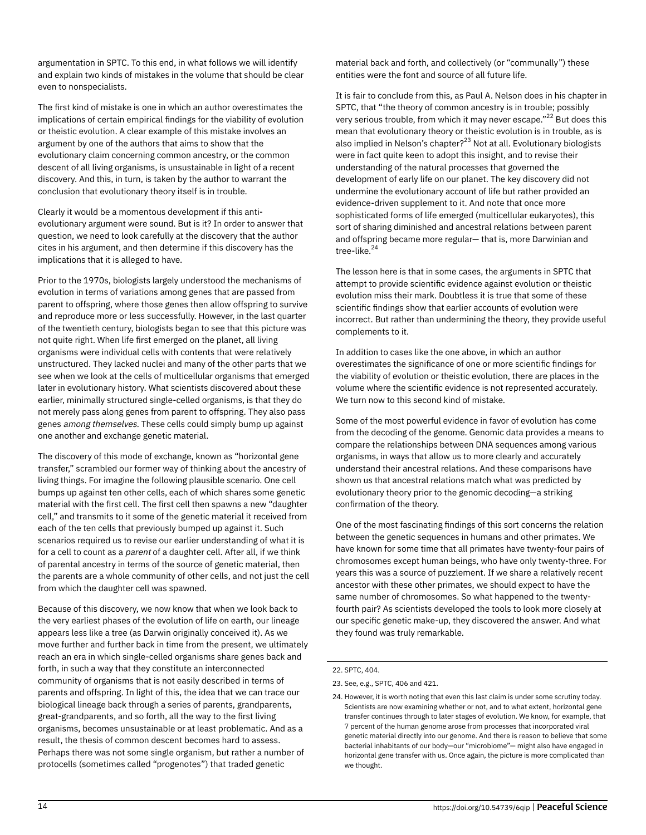argumentation in SPTC. To this end, in what follows we will identify and explain two kinds of mistakes in the volume that should be clear even to nonspecialists.

The first kind of mistake is one in which an author overestimates the implications of certain empirical findings for the viability of evolution or theistic evolution. A clear example of this mistake involves an argument by one of the authors that aims to show that the evolutionary claim concerning common ancestry, or the common descent of all living organisms, is unsustainable in light of a recent discovery. And this, in turn, is taken by the author to warrant the conclusion that evolutionary theory itself is in trouble.

Clearly it would be a momentous development if this antievolutionary argument were sound. But is it? In order to answer that question, we need to look carefully at the discovery that the author cites in his argument, and then determine if this discovery has the implications that it is alleged to have.

Prior to the 1970s, biologists largely understood the mechanisms of evolution in terms of variations among genes that are passed from parent to offspring, where those genes then allow offspring to survive and reproduce more or less successfully. However, in the last quarter of the twentieth century, biologists began to see that this picture was not quite right. When life first emerged on the planet, all living organisms were individual cells with contents that were relatively unstructured. They lacked nuclei and many of the other parts that we see when we look at the cells of multicellular organisms that emerged later in evolutionary history. What scientists discovered about these earlier, minimally structured single-celled organisms, is that they do not merely pass along genes from parent to offspring. They also pass genes among themselves. These cells could simply bump up against one another and exchange genetic material.

The discovery of this mode of exchange, known as "horizontal gene transfer," scrambled our former way of thinking about the ancestry of living things. For imagine the following plausible scenario. One cell bumps up against ten other cells, each of which shares some genetic material with the first cell. The first cell then spawns a new "daughter cell," and transmits to it some of the genetic material it received from each of the ten cells that previously bumped up against it. Such scenarios required us to revise our earlier understanding of what it is for a cell to count as a *parent* of a daughter cell. After all, if we think of parental ancestry in terms of the source of genetic material, then the parents are a whole community of other cells, and not just the cell from which the daughter cell was spawned.

Because of this discovery, we now know that when we look back to the very earliest phases of the evolution of life on earth, our lineage appears less like a tree (as Darwin originally conceived it). As we move further and further back in time from the present, we ultimately reach an era in which single-celled organisms share genes back and forth, in such a way that they constitute an interconnected community of organisms that is not easily described in terms of parents and offspring. In light of this, the idea that we can trace our biological lineage back through a series of parents, grandparents, great-grandparents, and so forth, all the way to the first living organisms, becomes unsustainable or at least problematic. And as a result, the thesis of common descent becomes hard to assess. Perhaps there was not some single organism, but rather a number of protocells (sometimes called "progenotes") that traded genetic

material back and forth, and collectively (or "communally") these entities were the font and source of all future life.

It is fair to conclude from this, as Paul A. Nelson does in his chapter in SPTC, that "the theory of common ancestry is in trouble; possibly very serious trouble, from which it may never escape."<sup>22</sup> But does this mean that evolutionary theory or theistic evolution is in trouble, as is also implied in Nelson's chapter? $^{23}$  Not at all. Evolutionary biologists were in fact quite keen to adopt this insight, and to revise their understanding of the natural processes that governed the development of early life on our planet. The key discovery did not undermine the evolutionary account of life but rather provided an evidence-driven supplement to it. And note that once more sophisticated forms of life emerged (multicellular eukaryotes), this sort of sharing diminished and ancestral relations between parent and offspring became more regular— that is, more Darwinian and tree-like. 24

The lesson here is that in some cases, the arguments in SPTC that attempt to provide scientific evidence against evolution or theistic evolution miss their mark. Doubtless it is true that some of these scientific findings show that earlier accounts of evolution were incorrect. But rather than undermining the theory, they provide useful complements to it.

In addition to cases like the one above, in which an author overestimates the significance of one or more scientific findings for the viability of evolution or theistic evolution, there are places in the volume where the scientific evidence is not represented accurately. We turn now to this second kind of mistake.

Some of the most powerful evidence in favor of evolution has come from the decoding of the genome. Genomic data provides a means to compare the relationships between DNA sequences among various organisms, in ways that allow us to more clearly and accurately understand their ancestral relations. And these comparisons have shown us that ancestral relations match what was predicted by evolutionary theory prior to the genomic decoding—a striking confirmation of the theory.

One of the most fascinating findings of this sort concerns the relation between the genetic sequences in humans and other primates. We have known for some time that all primates have twenty-four pairs of chromosomes except human beings, who have only twenty-three. For years this was a source of puzzlement. If we share a relatively recent ancestor with these other primates, we should expect to have the same number of chromosomes. So what happened to the twentyfourth pair? As scientists developed the tools to look more closely at our specific genetic make-up, they discovered the answer. And what they found was truly remarkable.

#### 22. SPTC, 404.

<sup>23.</sup> See, e.g., SPTC, 406 and 421.

<sup>24.</sup> However, it is worth noting that even this last claim is under some scrutiny today. Scientists are now examining whether or not, and to what extent, horizontal gene transfer continues through to later stages of evolution. We know, for example, that 7 percent of the human genome arose from processes that incorporated viral genetic material directly into our genome. And there is reason to believe that some bacterial inhabitants of our body—our "microbiome"— might also have engaged in horizontal gene transfer with us. Once again, the picture is more complicated than we thought.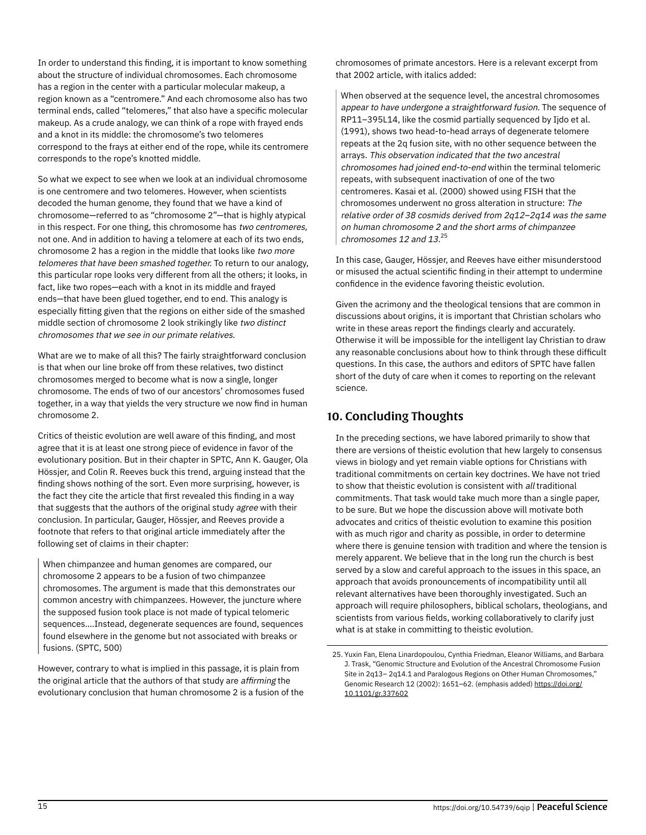In order to understand this finding, it is important to know something about the structure of individual chromosomes. Each chromosome has a region in the center with a particular molecular makeup, a region known as a "centromere." And each chromosome also has two terminal ends, called "telomeres," that also have a specific molecular makeup. As a crude analogy, we can think of a rope with frayed ends and a knot in its middle: the chromosome's two telomeres correspond to the frays at either end of the rope, while its centromere corresponds to the rope's knotted middle.

So what we expect to see when we look at an individual chromosome is one centromere and two telomeres. However, when scientists decoded the human genome, they found that we have a kind of chromosome—referred to as "chromosome 2"—that is highly atypical in this respect. For one thing, this chromosome has two centromeres, not one. And in addition to having a telomere at each of its two ends, chromosome 2 has a region in the middle that looks like two more telomeres that have been smashed together. To return to our analogy, this particular rope looks very different from all the others; it looks, in fact, like two ropes—each with a knot in its middle and frayed ends—that have been glued together, end to end. This analogy is especially fitting given that the regions on either side of the smashed middle section of chromosome 2 look strikingly like two distinct chromosomes that we see in our primate relatives.

What are we to make of all this? The fairly straightforward conclusion is that when our line broke off from these relatives, two distinct chromosomes merged to become what is now a single, longer chromosome. The ends of two of our ancestors' chromosomes fused together, in a way that yields the very structure we now find in human chromosome 2.

Critics of theistic evolution are well aware of this finding, and most agree that it is at least one strong piece of evidence in favor of the evolutionary position. But in their chapter in SPTC, Ann K. Gauger, Ola Hössjer, and Colin R. Reeves buck this trend, arguing instead that the finding shows nothing of the sort. Even more surprising, however, is the fact they cite the article that first revealed this finding in a way that suggests that the authors of the original study agree with their conclusion. In particular, Gauger, Hössjer, and Reeves provide a footnote that refers to that original article immediately after the following set of claims in their chapter:

When chimpanzee and human genomes are compared, our chromosome 2 appears to be a fusion of two chimpanzee chromosomes. The argument is made that this demonstrates our common ancestry with chimpanzees. However, the juncture where the supposed fusion took place is not made of typical telomeric sequences….Instead, degenerate sequences are found, sequences found elsewhere in the genome but not associated with breaks or fusions. (SPTC, 500)

However, contrary to what is implied in this passage, it is plain from the original article that the authors of that study are affirming the evolutionary conclusion that human chromosome 2 is a fusion of the chromosomes of primate ancestors. Here is a relevant excerpt from that 2002 article, with italics added:

When observed at the sequence level, the ancestral chromosomes appear to have undergone a straightforward fusion. The sequence of RP11–395L14, like the cosmid partially sequenced by Ijdo et al. (1991), shows two head-to-head arrays of degenerate telomere repeats at the 2q fusion site, with no other sequence between the arrays. This observation indicated that the two ancestral chromosomes had joined end-to-end within the terminal telomeric repeats, with subsequent inactivation of one of the two centromeres. Kasai et al. (2000) showed using FISH that the chromosomes underwent no gross alteration in structure: The relative order of 38 cosmids derived from 2q12–2q14 was the same on human chromosome 2 and the short arms of chimpanzee chromosomes 12 and 13.<sup>25</sup>

In this case, Gauger, Hössjer, and Reeves have either misunderstood or misused the actual scientific finding in their attempt to undermine confidence in the evidence favoring theistic evolution.

Given the acrimony and the theological tensions that are common in discussions about origins, it is important that Christian scholars who write in these areas report the findings clearly and accurately. Otherwise it will be impossible for the intelligent lay Christian to draw any reasonable conclusions about how to think through these difficult questions. In this case, the authors and editors of SPTC have fallen short of the duty of care when it comes to reporting on the relevant science.

#### 10. Concluding Thoughts

In the preceding sections, we have labored primarily to show that there are versions of theistic evolution that hew largely to consensus views in biology and yet remain viable options for Christians with traditional commitments on certain key doctrines. We have not tried to show that theistic evolution is consistent with all traditional commitments. That task would take much more than a single paper, to be sure. But we hope the discussion above will motivate both advocates and critics of theistic evolution to examine this position with as much rigor and charity as possible, in order to determine where there is genuine tension with tradition and where the tension is merely apparent. We believe that in the long run the church is best served by a slow and careful approach to the issues in this space, an approach that avoids pronouncements of incompatibility until all relevant alternatives have been thoroughly investigated. Such an approach will require philosophers, biblical scholars, theologians, and scientists from various fields, working collaboratively to clarify just what is at stake in committing to theistic evolution.

<sup>25.</sup> Yuxin Fan, Elena Linardopoulou, Cynthia Friedman, Eleanor Williams, and Barbara J. Trask, "Genomic Structure and Evolution of the Ancestral Chromosome Fusion Site in 2q13– 2q14.1 and Paralogous Regions on Other Human Chromosomes," Genomic Research 12 (2002): 1651–62. (emphasis added) [https://doi.org/](https://doi.org/10.1101/gr.337602) [10.1101/gr.337602](https://doi.org/10.1101/gr.337602)